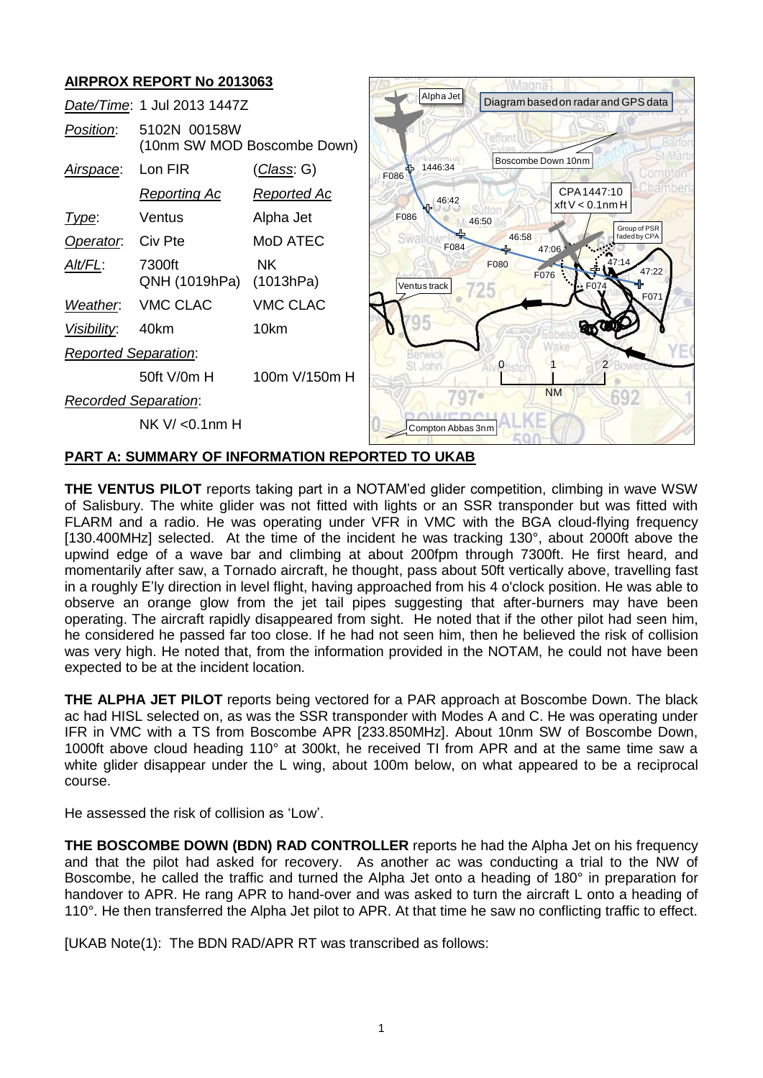# **AIRPROX REPORT No 2013063**

|                             | AINF NUA NEFUNT NU ZUTJUUJ                  |                    |                                     |                                        |
|-----------------------------|---------------------------------------------|--------------------|-------------------------------------|----------------------------------------|
| Date/Time: 1 Jul 2013 1447Z |                                             | Alpha Jet          | Diagram based on radar and GPS data |                                        |
| Position:                   | 5102N 00158W<br>(10nm SW MOD Boscombe Down) |                    |                                     |                                        |
| Airspace:                   | Lon FIR                                     | <u>(Class</u> : G) | 1446:34<br>٩F<br>F086               | Boscombe Down 10nm                     |
|                             | <b>Reporting Ac</b>                         | <u>Reported Ac</u> | 46:42                               | CPA1447:10<br>xftV < 0.1nmH            |
| Type:                       | Ventus                                      | Alpha Jet          | F086                                | 46:50<br>Group of PSR                  |
| Operator.                   | Civ Pte                                     | MoD ATEC           | F084                                | 46:58<br>faded by CPA<br>47:06         |
| Alt/FL:                     | 7300ft<br>QNH (1019hPa)                     | NK.<br>(1013hPa)   | Ventus track                        | F080<br>17:14<br>47:22<br>F076<br>F074 |
| Weather.                    | <b>VMC CLAC</b>                             | <b>VMC CLAC</b>    |                                     | F071                                   |
| <u>Visibility:</u>          | 40km                                        | 10km               |                                     |                                        |
| Reported Separation:        |                                             |                    |                                     | $\mathfrak{p}$<br>$\mathbf{0}$         |
|                             | 50ft V/0m H                                 | 100m V/150m H      |                                     |                                        |
| <b>Recorded Separation:</b> |                                             |                    |                                     | <b>NM</b><br>692                       |
|                             | NK $V / \le 0.1$ nm H                       |                    | Compton Abbas 3nm                   |                                        |

### **PART A: SUMMARY OF INFORMATION REPORTED TO UKAB**

**THE VENTUS PILOT** reports taking part in a NOTAM'ed glider competition, climbing in wave WSW of Salisbury. The white glider was not fitted with lights or an SSR transponder but was fitted with FLARM and a radio. He was operating under VFR in VMC with the BGA cloud-flying frequency [130.400MHz] selected. At the time of the incident he was tracking 130°, about 2000ft above the upwind edge of a wave bar and climbing at about 200fpm through 7300ft. He first heard, and momentarily after saw, a Tornado aircraft, he thought, pass about 50ft vertically above, travelling fast in a roughly E'ly direction in level flight, having approached from his 4 o'clock position. He was able to observe an orange glow from the jet tail pipes suggesting that after-burners may have been operating. The aircraft rapidly disappeared from sight. He noted that if the other pilot had seen him, he considered he passed far too close. If he had not seen him, then he believed the risk of collision was very high. He noted that, from the information provided in the NOTAM, he could not have been expected to be at the incident location.

**THE ALPHA JET PILOT** reports being vectored for a PAR approach at Boscombe Down. The black ac had HISL selected on, as was the SSR transponder with Modes A and C. He was operating under IFR in VMC with a TS from Boscombe APR [233.850MHz]. About 10nm SW of Boscombe Down, 1000ft above cloud heading 110° at 300kt, he received TI from APR and at the same time saw a white glider disappear under the L wing, about 100m below, on what appeared to be a reciprocal course.

He assessed the risk of collision as 'Low'.

**THE BOSCOMBE DOWN (BDN) RAD CONTROLLER** reports he had the Alpha Jet on his frequency and that the pilot had asked for recovery. As another ac was conducting a trial to the NW of Boscombe, he called the traffic and turned the Alpha Jet onto a heading of 180° in preparation for handover to APR. He rang APR to hand-over and was asked to turn the aircraft L onto a heading of 110°. He then transferred the Alpha Jet pilot to APR. At that time he saw no conflicting traffic to effect.

[UKAB Note(1): The BDN RAD/APR RT was transcribed as follows: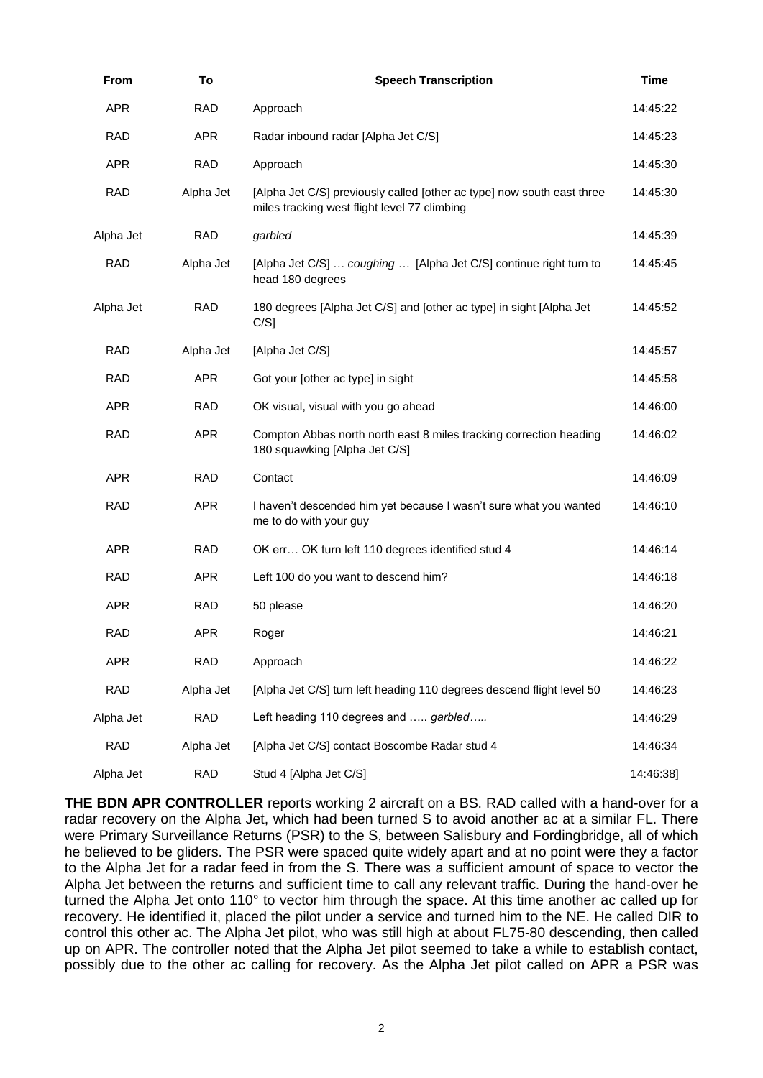| From       | To         | <b>Speech Transcription</b>                                                                                            | <b>Time</b> |
|------------|------------|------------------------------------------------------------------------------------------------------------------------|-------------|
| <b>APR</b> | <b>RAD</b> | Approach                                                                                                               | 14:45:22    |
| <b>RAD</b> | <b>APR</b> | Radar inbound radar [Alpha Jet C/S]                                                                                    | 14:45:23    |
| <b>APR</b> | <b>RAD</b> | Approach                                                                                                               | 14:45:30    |
| <b>RAD</b> | Alpha Jet  | [Alpha Jet C/S] previously called [other ac type] now south east three<br>miles tracking west flight level 77 climbing | 14:45:30    |
| Alpha Jet  | <b>RAD</b> | garbled                                                                                                                | 14:45:39    |
| <b>RAD</b> | Alpha Jet  | [Alpha Jet C/S]  coughing  [Alpha Jet C/S] continue right turn to<br>head 180 degrees                                  | 14:45:45    |
| Alpha Jet  | <b>RAD</b> | 180 degrees [Alpha Jet C/S] and [other ac type] in sight [Alpha Jet<br>$C/S$ ]                                         | 14:45:52    |
| <b>RAD</b> | Alpha Jet  | [Alpha Jet C/S]                                                                                                        | 14:45:57    |
| <b>RAD</b> | <b>APR</b> | Got your [other ac type] in sight                                                                                      | 14:45:58    |
| <b>APR</b> | <b>RAD</b> | OK visual, visual with you go ahead                                                                                    | 14:46:00    |
| <b>RAD</b> | <b>APR</b> | Compton Abbas north north east 8 miles tracking correction heading<br>180 squawking [Alpha Jet C/S]                    | 14:46:02    |
| <b>APR</b> | <b>RAD</b> | Contact                                                                                                                | 14:46:09    |
| <b>RAD</b> | <b>APR</b> | I haven't descended him yet because I wasn't sure what you wanted<br>me to do with your guy                            | 14:46:10    |
| <b>APR</b> | <b>RAD</b> | OK err OK turn left 110 degrees identified stud 4                                                                      | 14:46:14    |
| <b>RAD</b> | <b>APR</b> | Left 100 do you want to descend him?                                                                                   | 14:46:18    |
| <b>APR</b> | <b>RAD</b> | 50 please                                                                                                              | 14:46:20    |
| <b>RAD</b> | <b>APR</b> | Roger                                                                                                                  | 14:46:21    |
| <b>APR</b> | <b>RAD</b> | Approach                                                                                                               | 14:46:22    |
| <b>RAD</b> | Alpha Jet  | [Alpha Jet C/S] turn left heading 110 degrees descend flight level 50                                                  | 14:46:23    |
| Alpha Jet  | <b>RAD</b> | Left heading 110 degrees and  garbled                                                                                  | 14:46:29    |
| <b>RAD</b> | Alpha Jet  | [Alpha Jet C/S] contact Boscombe Radar stud 4                                                                          | 14:46:34    |
| Alpha Jet  | <b>RAD</b> | Stud 4 [Alpha Jet C/S]                                                                                                 | 14:46:38]   |

**THE BDN APR CONTROLLER** reports working 2 aircraft on a BS. RAD called with a hand-over for a radar recovery on the Alpha Jet, which had been turned S to avoid another ac at a similar FL. There were Primary Surveillance Returns (PSR) to the S, between Salisbury and Fordingbridge, all of which he believed to be gliders. The PSR were spaced quite widely apart and at no point were they a factor to the Alpha Jet for a radar feed in from the S. There was a sufficient amount of space to vector the Alpha Jet between the returns and sufficient time to call any relevant traffic. During the hand-over he turned the Alpha Jet onto 110° to vector him through the space. At this time another ac called up for recovery. He identified it, placed the pilot under a service and turned him to the NE. He called DIR to control this other ac. The Alpha Jet pilot, who was still high at about FL75-80 descending, then called up on APR. The controller noted that the Alpha Jet pilot seemed to take a while to establish contact, possibly due to the other ac calling for recovery. As the Alpha Jet pilot called on APR a PSR was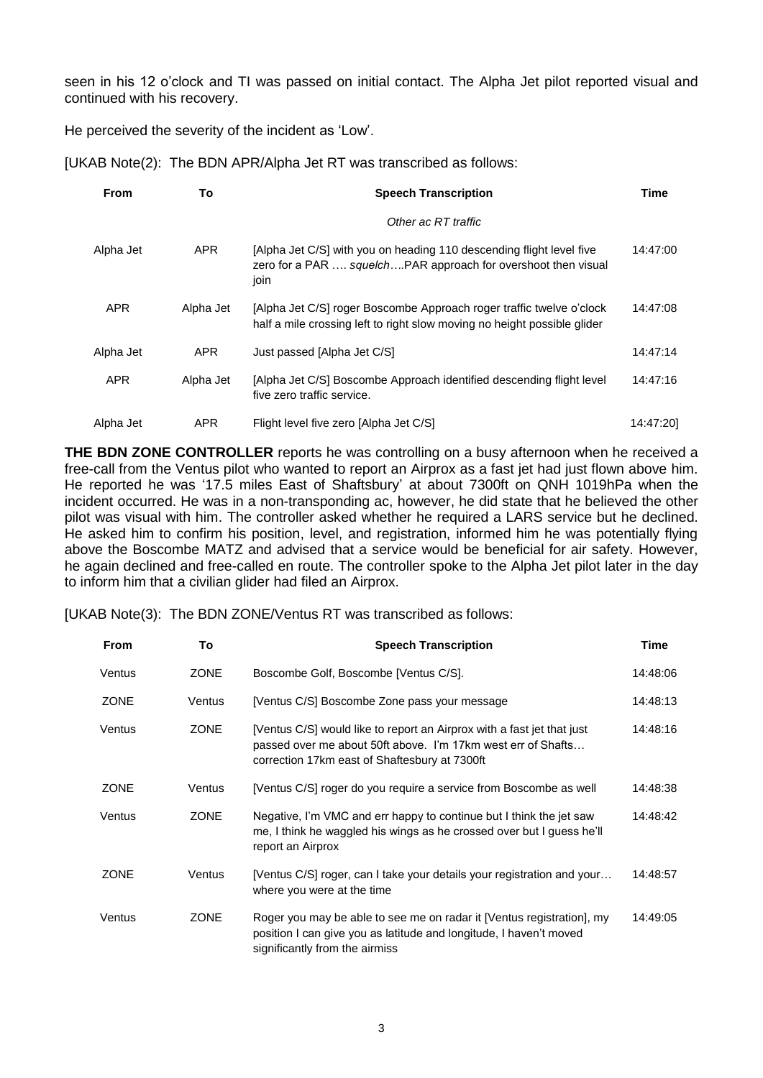seen in his 12 o'clock and TI was passed on initial contact. The Alpha Jet pilot reported visual and continued with his recovery.

He perceived the severity of the incident as 'Low'.

| <b>From</b> | To         | <b>Speech Transcription</b>                                                                                                                      |           |
|-------------|------------|--------------------------------------------------------------------------------------------------------------------------------------------------|-----------|
|             |            | Other ac RT traffic                                                                                                                              |           |
| Alpha Jet   | <b>APR</b> | [Alpha Jet C/S] with you on heading 110 descending flight level five<br>zero for a PAR  squelchPAR approach for overshoot then visual<br>join    | 14:47:00  |
| <b>APR</b>  | Alpha Jet  | [Alpha Jet C/S] roger Boscombe Approach roger traffic twelve o'clock<br>half a mile crossing left to right slow moving no height possible glider | 14:47:08  |
| Alpha Jet   | <b>APR</b> | Just passed [Alpha Jet C/S]                                                                                                                      | 14:47:14  |
| <b>APR</b>  | Alpha Jet  | [Alpha Jet C/S] Boscombe Approach identified descending flight level<br>five zero traffic service.                                               | 14:47:16  |
| Alpha Jet   | <b>APR</b> | Flight level five zero [Alpha Jet C/S]                                                                                                           | 14:47:201 |

[UKAB Note(2): The BDN APR/Alpha Jet RT was transcribed as follows:

**THE BDN ZONE CONTROLLER** reports he was controlling on a busy afternoon when he received a free-call from the Ventus pilot who wanted to report an Airprox as a fast jet had just flown above him. He reported he was '17.5 miles East of Shaftsbury' at about 7300ft on QNH 1019hPa when the incident occurred. He was in a non-transponding ac, however, he did state that he believed the other pilot was visual with him. The controller asked whether he required a LARS service but he declined. He asked him to confirm his position, level, and registration, informed him he was potentially flying above the Boscombe MATZ and advised that a service would be beneficial for air safety. However, he again declined and free-called en route. The controller spoke to the Alpha Jet pilot later in the day to inform him that a civilian glider had filed an Airprox.

[UKAB Note(3): The BDN ZONE/Ventus RT was transcribed as follows:

| <b>From</b> | To          | <b>Speech Transcription</b>                                                                                                                                                             | <b>Time</b> |
|-------------|-------------|-----------------------------------------------------------------------------------------------------------------------------------------------------------------------------------------|-------------|
| Ventus      | <b>ZONE</b> | Boscombe Golf, Boscombe [Ventus C/S].                                                                                                                                                   | 14:48:06    |
| <b>ZONE</b> | Ventus      | [Ventus C/S] Boscombe Zone pass your message                                                                                                                                            | 14:48:13    |
| Ventus      | <b>ZONE</b> | [Ventus C/S] would like to report an Airprox with a fast jet that just<br>passed over me about 50ft above. I'm 17km west err of Shafts<br>correction 17km east of Shaftesbury at 7300ft | 14:48:16    |
| <b>ZONE</b> | Ventus      | [Ventus C/S] roger do you require a service from Boscombe as well                                                                                                                       | 14:48:38    |
| Ventus      | <b>ZONE</b> | Negative, I'm VMC and err happy to continue but I think the jet saw<br>me, I think he waggled his wings as he crossed over but I guess he'll<br>report an Airprox                       | 14:48:42    |
| <b>ZONE</b> | Ventus      | [Ventus C/S] roger, can I take your details your registration and your<br>where you were at the time                                                                                    | 14:48:57    |
| Ventus      | <b>ZONE</b> | Roger you may be able to see me on radar it [Ventus registration], my<br>position I can give you as latitude and longitude, I haven't moved<br>significantly from the airmiss           | 14:49:05    |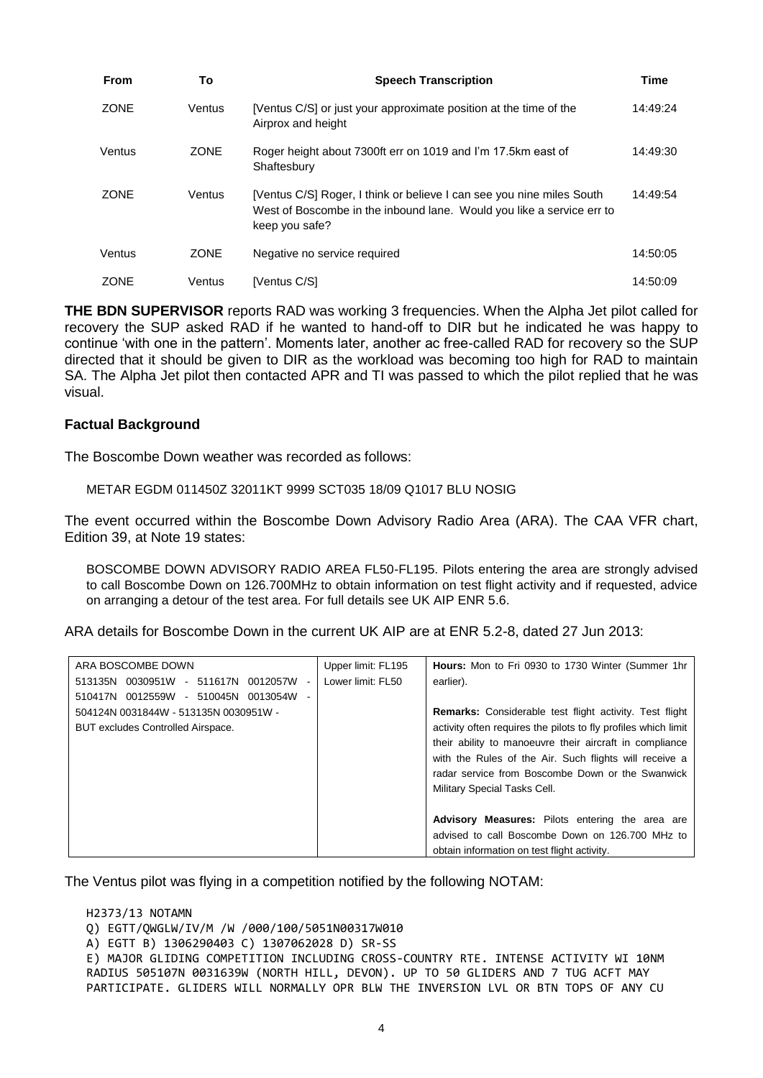| <b>From</b> | To          | <b>Speech Transcription</b>                                                                                                                                      | <b>Time</b> |
|-------------|-------------|------------------------------------------------------------------------------------------------------------------------------------------------------------------|-------------|
| <b>ZONE</b> | Ventus      | [Ventus C/S] or just your approximate position at the time of the<br>Airprox and height                                                                          | 14:49:24    |
| Ventus      | <b>ZONE</b> | Roger height about 7300ft err on 1019 and I'm 17.5km east of<br>Shaftesbury                                                                                      | 14:49:30    |
| <b>ZONE</b> | Ventus      | [Ventus C/S] Roger, I think or believe I can see you nine miles South<br>West of Boscombe in the inbound lane. Would you like a service err to<br>keep you safe? | 14:49:54    |
| Ventus      | <b>ZONE</b> | Negative no service required                                                                                                                                     | 14:50:05    |
| <b>ZONE</b> | Ventus      | [Ventus C/S]                                                                                                                                                     | 14:50:09    |

**THE BDN SUPERVISOR** reports RAD was working 3 frequencies. When the Alpha Jet pilot called for recovery the SUP asked RAD if he wanted to hand-off to DIR but he indicated he was happy to continue 'with one in the pattern'. Moments later, another ac free-called RAD for recovery so the SUP directed that it should be given to DIR as the workload was becoming too high for RAD to maintain SA. The Alpha Jet pilot then contacted APR and TI was passed to which the pilot replied that he was visual.

### **Factual Background**

The Boscombe Down weather was recorded as follows:

METAR EGDM 011450Z 32011KT 9999 SCT035 18/09 Q1017 BLU NOSIG

The event occurred within the Boscombe Down Advisory Radio Area (ARA). The CAA VFR chart, Edition 39, at Note 19 states:

BOSCOMBE DOWN ADVISORY RADIO AREA FL50-FL195. Pilots entering the area are strongly advised to call Boscombe Down on 126.700MHz to obtain information on test flight activity and if requested, advice on arranging a detour of the test area. For full details see UK AIP ENR 5.6.

ARA details for Boscombe Down in the current UK AIP are at ENR 5.2-8, dated 27 Jun 2013:

| ARA BOSCOMBE DOWN                            | Upper limit: FL195 | <b>Hours:</b> Mon to Fri 0930 to 1730 Winter (Summer 1hr       |
|----------------------------------------------|--------------------|----------------------------------------------------------------|
| - 511617N<br>0012057W<br>0030951W<br>513135N | Lower limit: FL50  | earlier).                                                      |
| 0012559W<br>0013054W<br>- 510045N<br>510417N |                    |                                                                |
| 504124N 0031844W - 513135N 0030951W -        |                    | <b>Remarks:</b> Considerable test flight activity. Test flight |
| BUT excludes Controlled Airspace.            |                    | activity often requires the pilots to fly profiles which limit |
|                                              |                    | their ability to manoeuvre their aircraft in compliance        |
|                                              |                    | with the Rules of the Air. Such flights will receive a         |
|                                              |                    | radar service from Boscombe Down or the Swanwick               |
|                                              |                    | Military Special Tasks Cell.                                   |
|                                              |                    |                                                                |
|                                              |                    | <b>Advisory Measures:</b> Pilots entering the area are         |
|                                              |                    | advised to call Boscombe Down on 126,700 MHz to                |
|                                              |                    | obtain information on test flight activity.                    |

The Ventus pilot was flying in a competition notified by the following NOTAM:

H2373/13 NOTAMN Q) EGTT/QWGLW/IV/M /W /000/100/5051N00317W010 A) EGTT B) 1306290403 C) 1307062028 D) SR-SS E) MAJOR GLIDING COMPETITION INCLUDING CROSS-COUNTRY RTE. INTENSE ACTIVITY WI 10NM RADIUS 505107N 0031639W (NORTH HILL, DEVON). UP TO 50 GLIDERS AND 7 TUG ACFT MAY PARTICIPATE. GLIDERS WILL NORMALLY OPR BLW THE INVERSION LVL OR BTN TOPS OF ANY CU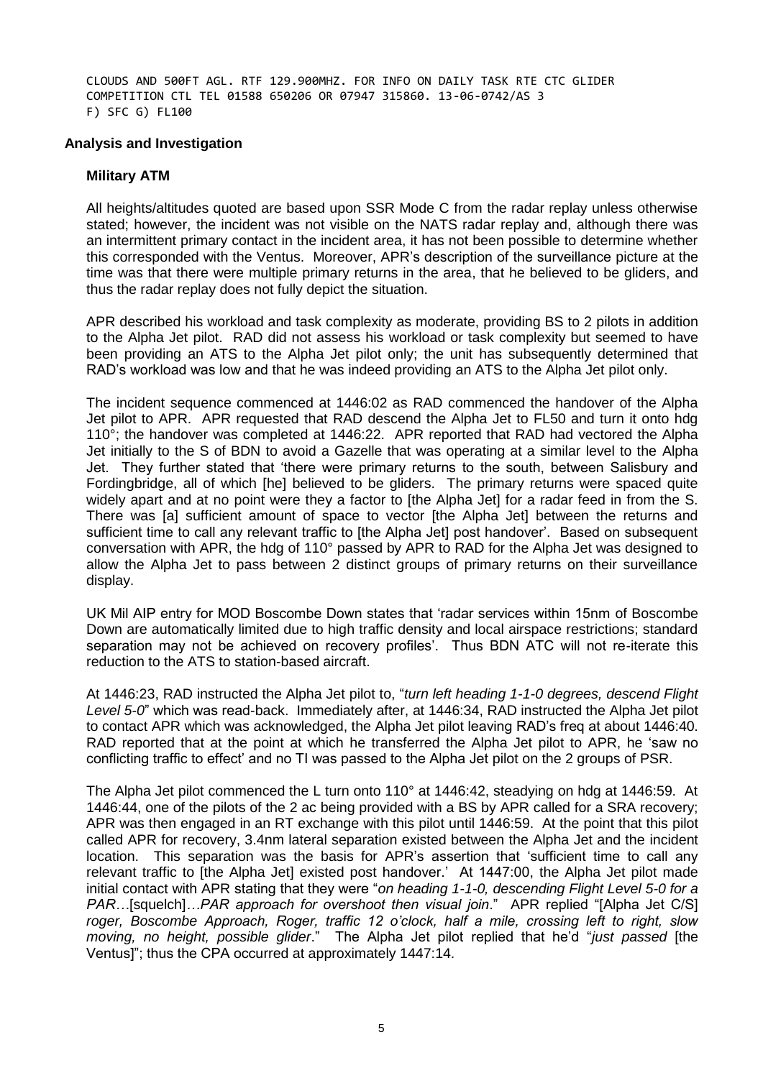CLOUDS AND 500FT AGL. RTF 129.900MHZ. FOR INFO ON DAILY TASK RTE CTC GLIDER COMPETITION CTL TEL 01588 650206 OR 07947 315860. 13-06-0742/AS 3 F) SFC G) FL100

#### **Analysis and Investigation**

#### **Military ATM**

All heights/altitudes quoted are based upon SSR Mode C from the radar replay unless otherwise stated; however, the incident was not visible on the NATS radar replay and, although there was an intermittent primary contact in the incident area, it has not been possible to determine whether this corresponded with the Ventus. Moreover, APR's description of the surveillance picture at the time was that there were multiple primary returns in the area, that he believed to be gliders, and thus the radar replay does not fully depict the situation.

APR described his workload and task complexity as moderate, providing BS to 2 pilots in addition to the Alpha Jet pilot. RAD did not assess his workload or task complexity but seemed to have been providing an ATS to the Alpha Jet pilot only; the unit has subsequently determined that RAD's workload was low and that he was indeed providing an ATS to the Alpha Jet pilot only.

The incident sequence commenced at 1446:02 as RAD commenced the handover of the Alpha Jet pilot to APR. APR requested that RAD descend the Alpha Jet to FL50 and turn it onto hdg 110°; the handover was completed at 1446:22. APR reported that RAD had vectored the Alpha Jet initially to the S of BDN to avoid a Gazelle that was operating at a similar level to the Alpha Jet. They further stated that 'there were primary returns to the south, between Salisbury and Fordingbridge, all of which [he] believed to be gliders. The primary returns were spaced quite widely apart and at no point were they a factor to [the Alpha Jet] for a radar feed in from the S. There was [a] sufficient amount of space to vector [the Alpha Jet] between the returns and sufficient time to call any relevant traffic to [the Alpha Jet] post handover'. Based on subsequent conversation with APR, the hdg of 110° passed by APR to RAD for the Alpha Jet was designed to allow the Alpha Jet to pass between 2 distinct groups of primary returns on their surveillance display.

UK Mil AIP entry for MOD Boscombe Down states that 'radar services within 15nm of Boscombe Down are automatically limited due to high traffic density and local airspace restrictions; standard separation may not be achieved on recovery profiles'. Thus BDN ATC will not re-iterate this reduction to the ATS to station-based aircraft.

At 1446:23, RAD instructed the Alpha Jet pilot to, "*turn left heading 1-1-0 degrees, descend Flight Level 5-0*" which was read-back. Immediately after, at 1446:34, RAD instructed the Alpha Jet pilot to contact APR which was acknowledged, the Alpha Jet pilot leaving RAD's freq at about 1446:40. RAD reported that at the point at which he transferred the Alpha Jet pilot to APR, he 'saw no conflicting traffic to effect' and no TI was passed to the Alpha Jet pilot on the 2 groups of PSR.

The Alpha Jet pilot commenced the L turn onto 110° at 1446:42, steadying on hdg at 1446:59. At 1446:44, one of the pilots of the 2 ac being provided with a BS by APR called for a SRA recovery; APR was then engaged in an RT exchange with this pilot until 1446:59. At the point that this pilot called APR for recovery, 3.4nm lateral separation existed between the Alpha Jet and the incident location. This separation was the basis for APR's assertion that 'sufficient time to call any relevant traffic to [the Alpha Jet] existed post handover.' At 1447:00, the Alpha Jet pilot made initial contact with APR stating that they were "*on heading 1-1-0, descending Flight Level 5-0 for a PAR…*[squelch]*…PAR approach for overshoot then visual join*." APR replied "[Alpha Jet C/S] *roger, Boscombe Approach, Roger, traffic 12 o'clock, half a mile, crossing left to right, slow moving, no height, possible glider*." The Alpha Jet pilot replied that he'd "*just passed* [the Ventus]"; thus the CPA occurred at approximately 1447:14.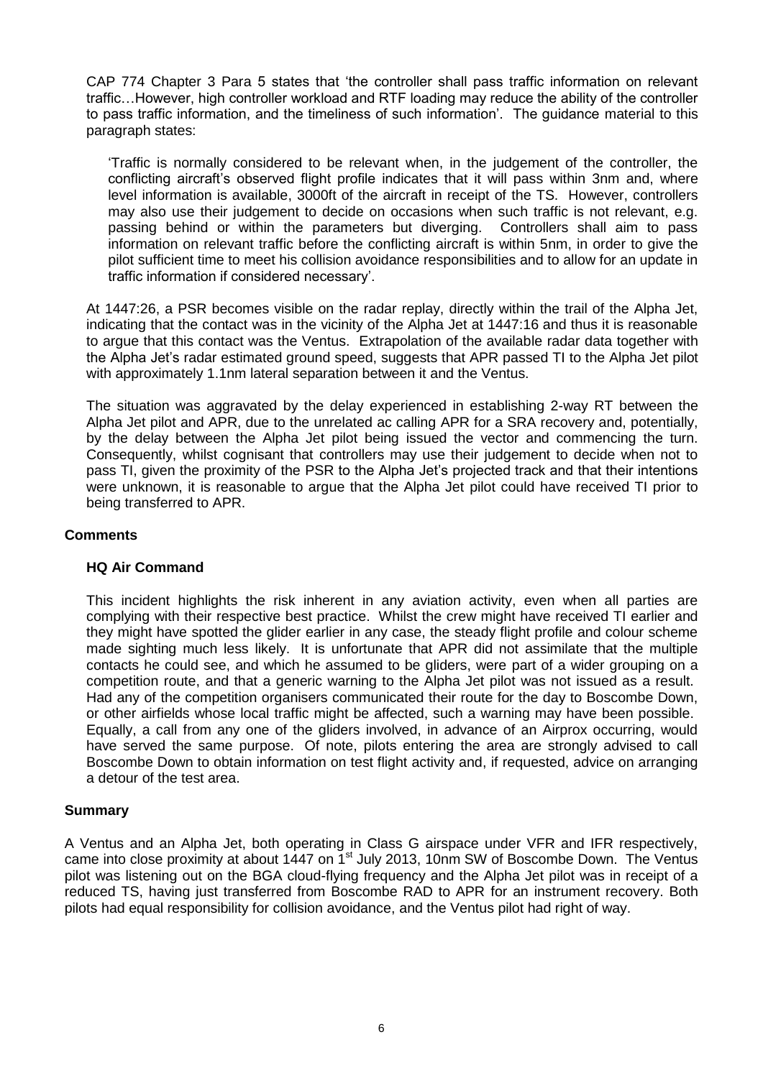CAP 774 Chapter 3 Para 5 states that 'the controller shall pass traffic information on relevant traffic…However, high controller workload and RTF loading may reduce the ability of the controller to pass traffic information, and the timeliness of such information'. The guidance material to this paragraph states:

'Traffic is normally considered to be relevant when, in the judgement of the controller, the conflicting aircraft's observed flight profile indicates that it will pass within 3nm and, where level information is available, 3000ft of the aircraft in receipt of the TS. However, controllers may also use their judgement to decide on occasions when such traffic is not relevant, e.g. passing behind or within the parameters but diverging. Controllers shall aim to pass information on relevant traffic before the conflicting aircraft is within 5nm, in order to give the pilot sufficient time to meet his collision avoidance responsibilities and to allow for an update in traffic information if considered necessary'.

At 1447:26, a PSR becomes visible on the radar replay, directly within the trail of the Alpha Jet, indicating that the contact was in the vicinity of the Alpha Jet at 1447:16 and thus it is reasonable to argue that this contact was the Ventus. Extrapolation of the available radar data together with the Alpha Jet's radar estimated ground speed, suggests that APR passed TI to the Alpha Jet pilot with approximately 1.1nm lateral separation between it and the Ventus.

The situation was aggravated by the delay experienced in establishing 2-way RT between the Alpha Jet pilot and APR, due to the unrelated ac calling APR for a SRA recovery and, potentially, by the delay between the Alpha Jet pilot being issued the vector and commencing the turn. Consequently, whilst cognisant that controllers may use their judgement to decide when not to pass TI, given the proximity of the PSR to the Alpha Jet's projected track and that their intentions were unknown, it is reasonable to argue that the Alpha Jet pilot could have received TI prior to being transferred to APR.

## **Comments**

### **HQ Air Command**

This incident highlights the risk inherent in any aviation activity, even when all parties are complying with their respective best practice. Whilst the crew might have received TI earlier and they might have spotted the glider earlier in any case, the steady flight profile and colour scheme made sighting much less likely. It is unfortunate that APR did not assimilate that the multiple contacts he could see, and which he assumed to be gliders, were part of a wider grouping on a competition route, and that a generic warning to the Alpha Jet pilot was not issued as a result. Had any of the competition organisers communicated their route for the day to Boscombe Down, or other airfields whose local traffic might be affected, such a warning may have been possible. Equally, a call from any one of the gliders involved, in advance of an Airprox occurring, would have served the same purpose. Of note, pilots entering the area are strongly advised to call Boscombe Down to obtain information on test flight activity and, if requested, advice on arranging a detour of the test area.

### **Summary**

A Ventus and an Alpha Jet, both operating in Class G airspace under VFR and IFR respectively, came into close proximity at about 1447 on 1<sup>st</sup> July 2013, 10nm SW of Boscombe Down. The Ventus pilot was listening out on the BGA cloud-flying frequency and the Alpha Jet pilot was in receipt of a reduced TS, having just transferred from Boscombe RAD to APR for an instrument recovery. Both pilots had equal responsibility for collision avoidance, and the Ventus pilot had right of way.